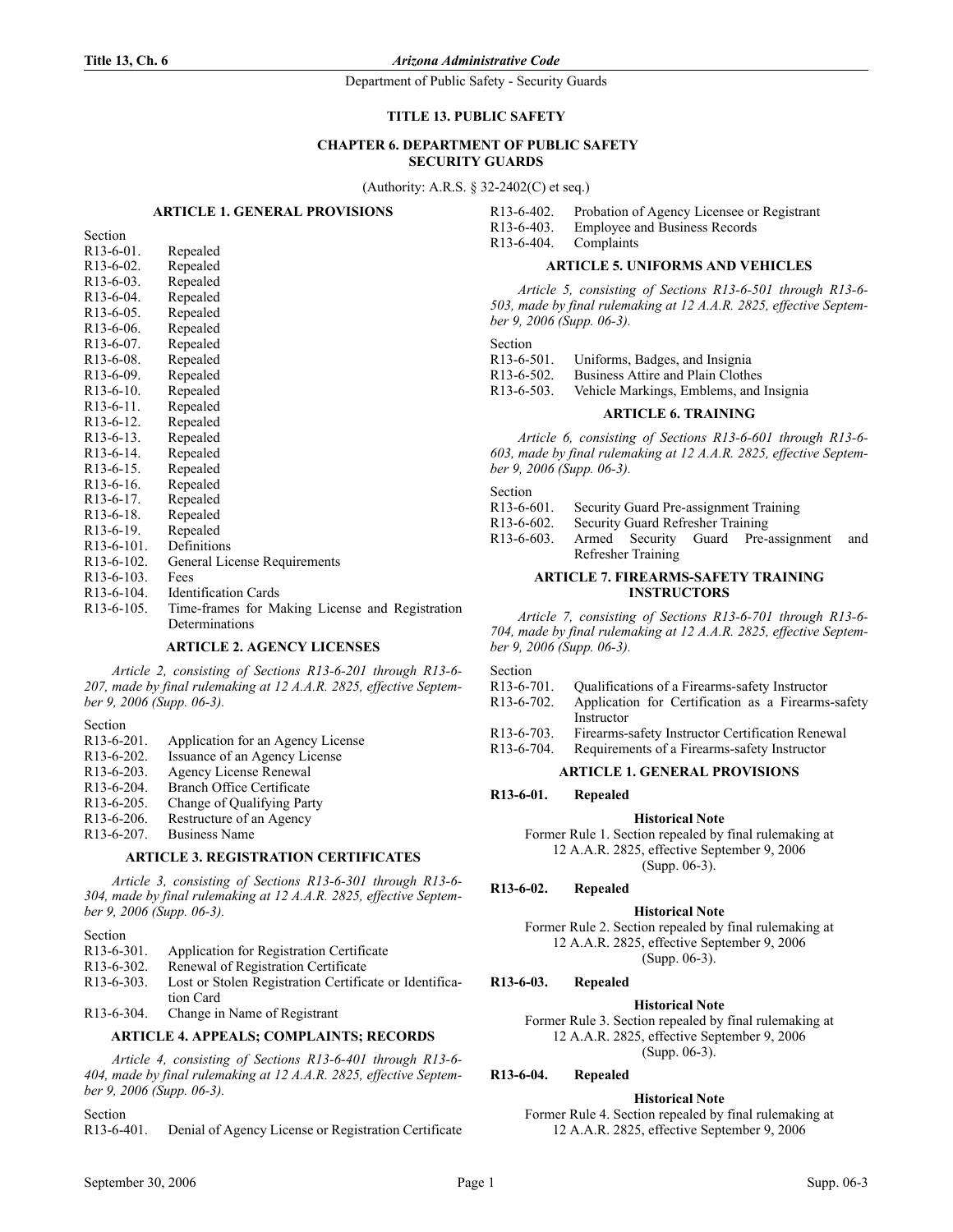**Title 13, Ch. 6** *Arizona Administrative Code*

Department of Public Safety - Security Guards

## **TITLE 13. PUBLIC SAFETY**

# **CHAPTER 6. DEPARTMENT OF PUBLIC SAFETY SECURITY GUARDS**

(Authority: A.R.S. § 32-2402(C) et seq.)

## **ARTICLE 1. GENERAL PROVISIONS**

| Section                |          |
|------------------------|----------|
| $R13-6-01$ .           | Repealed |
| $R13-6-02$ .           | Repealed |
| R13-6-03.              | Repealed |
| R <sub>13</sub> -6-04. | Repealed |
| $R13-6-05$ .           | Repealed |
| R <sub>13</sub> -6-06. | Repealed |
| R <sub>13</sub> -6-07. | Repealed |
| $R13-6-08$ .           | Repealed |
| R <sub>13</sub> -6-09. | Repealed |

| R <sub>13</sub> -6-06.  | Repealed                                        |
|-------------------------|-------------------------------------------------|
| $R13-6-07$ .            | Repealed                                        |
| $R13-6-08$ .            | Repealed                                        |
| $R13-6-09$ .            | Repealed                                        |
| $R13-6-10$ .            | Repealed                                        |
| $R13-6-11$ .            | Repealed                                        |
| $R13-6-12$ .            | Repealed                                        |
| $R13-6-13$ .            | Repealed                                        |
| $R13-6-14$ .            | Repealed                                        |
| $R13-6-15$ .            | Repealed                                        |
| $R13-6-16$ .            | Repealed                                        |
| $R13-6-17$ .            | Repealed                                        |
| $R13-6-18$ .            | Repealed                                        |
| $R13-6-19$ .            | Repealed                                        |
| R <sub>13</sub> -6-101. | Definitions                                     |
| R <sub>13</sub> -6-102. | General License Requirements                    |
| $R13-6-103$ .           | Fees                                            |
| R <sub>13</sub> -6-104. | <b>Identification Cards</b>                     |
| R <sub>13</sub> -6-105. | Time-frames for Making License and Registration |

#### **ARTICLE 2. AGENCY LICENSES**

*Article 2, consisting of Sections R13-6-201 through R13-6- 207, made by final rulemaking at 12 A.A.R. 2825, effective September 9, 2006 (Supp. 06-3).*

#### Section

R13-6-201. Application for an Agency License R13-6-202. Issuance of an Agency License R13-6-203. Agency License Renewal R13-6-204. Branch Office Certificate R13-6-205. Change of Qualifying Party R13-6-206. Restructure of an Agency R13-6-207. Business Name

Determinations

### **ARTICLE 3. REGISTRATION CERTIFICATES**

*Article 3, consisting of Sections R13-6-301 through R13-6- 304, made by final rulemaking at 12 A.A.R. 2825, effective September 9, 2006 (Supp. 06-3).*

| CH C<br>11<br>ı |
|-----------------|
|                 |

| R <sub>13</sub> -6-301. | Application for Registration Certificate     |
|-------------------------|----------------------------------------------|
| R <sub>13</sub> -6-302. | Renewal of Registration Certificate          |
| R <sub>13-6-303</sub>   | Lost or Stolen Registration Certificate or 1 |

R13-6-303. Lost or Stolen Registration Certificate or Identification Card

R13-6-304. Change in Name of Registrant

## **ARTICLE 4. APPEALS; COMPLAINTS; RECORDS**

*Article 4, consisting of Sections R13-6-401 through R13-6- 404, made by final rulemaking at 12 A.A.R. 2825, effective September 9, 2006 (Supp. 06-3).*

Section

R13-6-401. Denial of Agency License or Registration Certificate

| R <sub>13</sub> -6-402. | Probation of Agency Licensee or Registrant |
|-------------------------|--------------------------------------------|
| R <sub>13</sub> -6-403. | <b>Employee and Business Records</b>       |
| R <sub>13</sub> -6-404. | Complaints                                 |

#### **ARTICLE 5. UNIFORMS AND VEHICLES**

*Article 5, consisting of Sections R13-6-501 through R13-6- 503, made by final rulemaking at 12 A.A.R. 2825, effective September 9, 2006 (Supp. 06-3).*

Section

R13-6-501. Uniforms, Badges, and Insignia

R13-6-502. Business Attire and Plain Clothes

R13-6-503. Vehicle Markings, Emblems, and Insignia

### **ARTICLE 6. TRAINING**

*Article 6, consisting of Sections R13-6-601 through R13-6- 603, made by final rulemaking at 12 A.A.R. 2825, effective September 9, 2006 (Supp. 06-3).*

#### Section

| $R13-6-601$ .      | Security Guard Pre-assignment Training |  |  |                                     |     |  |  |  |
|--------------------|----------------------------------------|--|--|-------------------------------------|-----|--|--|--|
| $R13-6-602$ .      | Security Guard Refresher Training      |  |  |                                     |     |  |  |  |
| $R13-6-603$ .      |                                        |  |  | Armed Security Guard Pre-assignment | and |  |  |  |
| Refresher Training |                                        |  |  |                                     |     |  |  |  |
|                    |                                        |  |  |                                     |     |  |  |  |

#### **ARTICLE 7. FIREARMS-SAFETY TRAINING INSTRUCTORS**

*Article 7, consisting of Sections R13-6-701 through R13-6- 704, made by final rulemaking at 12 A.A.R. 2825, effective September 9, 2006 (Supp. 06-3).*

Section

- R13-6-701. Qualifications of a Firearms-safety Instructor
- R13-6-702. Application for Certification as a Firearms-safety Instructor
- R13-6-703. Firearms-safety Instructor Certification Renewal

R13-6-704. Requirements of a Firearms-safety Instructor

## **ARTICLE 1. GENERAL PROVISIONS**

### **R13-6-01. Repealed**

**Historical Note**

Former Rule 1. Section repealed by final rulemaking at 12 A.A.R. 2825, effective September 9, 2006 (Supp. 06-3).

## **R13-6-02. Repealed**

## **Historical Note**

Former Rule 2. Section repealed by final rulemaking at 12 A.A.R. 2825, effective September 9, 2006 (Supp. 06-3).

# **R13-6-03. Repealed**

### **Historical Note**

Former Rule 3. Section repealed by final rulemaking at 12 A.A.R. 2825, effective September 9, 2006 (Supp. 06-3).

**R13-6-04. Repealed**

## **Historical Note**

Former Rule 4. Section repealed by final rulemaking at 12 A.A.R. 2825, effective September 9, 2006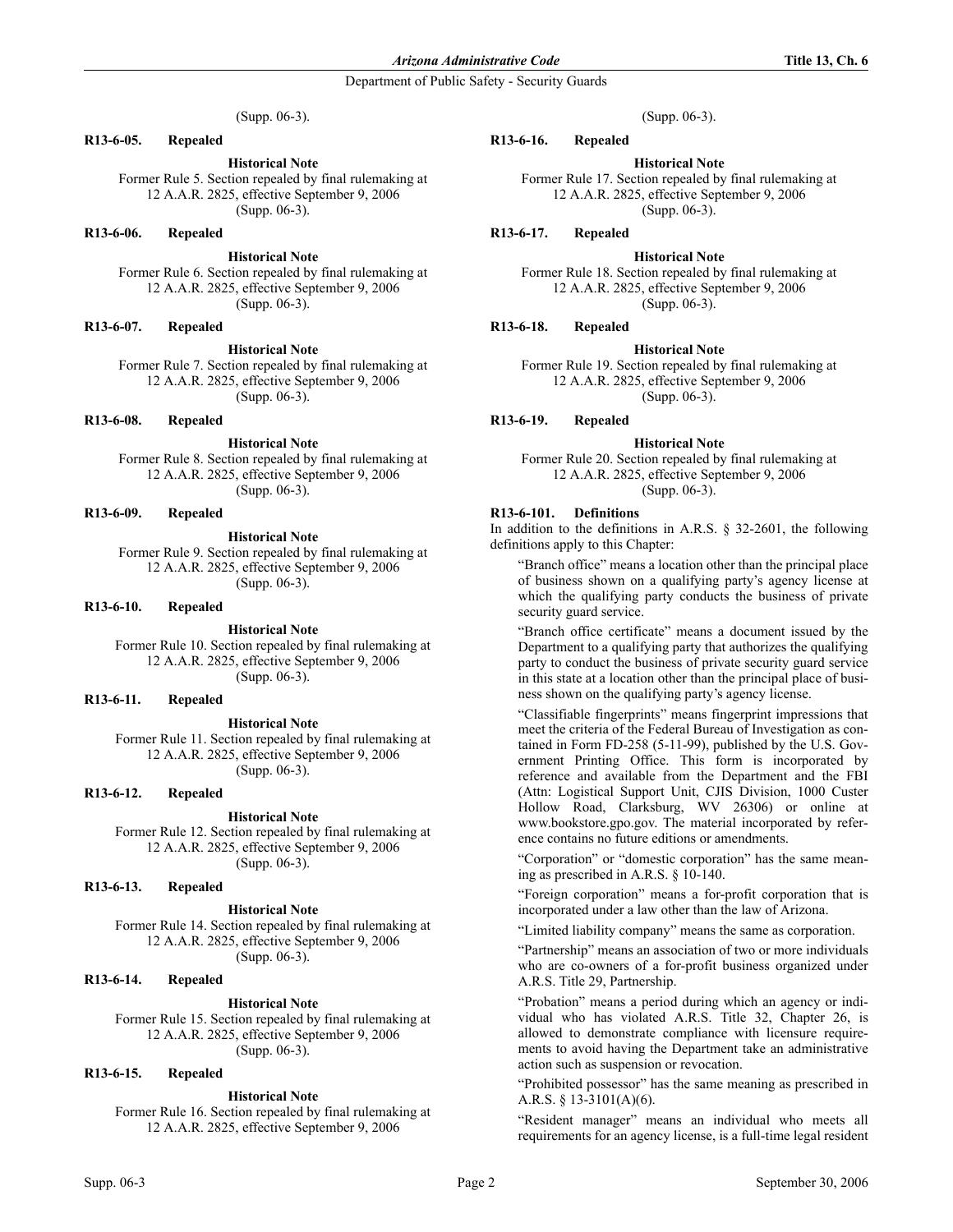(Supp. 06-3).

## **R13-6-05. Repealed**

**Historical Note** Former Rule 5. Section repealed by final rulemaking at 12 A.A.R. 2825, effective September 9, 2006 (Supp. 06-3).

### **R13-6-06. Repealed**

**Historical Note**

Former Rule 6. Section repealed by final rulemaking at 12 A.A.R. 2825, effective September 9, 2006 (Supp. 06-3).

#### **R13-6-07. Repealed**

**Historical Note**

Former Rule 7. Section repealed by final rulemaking at 12 A.A.R. 2825, effective September 9, 2006 (Supp. 06-3).

**R13-6-08. Repealed**

**Historical Note**

Former Rule 8. Section repealed by final rulemaking at 12 A.A.R. 2825, effective September 9, 2006 (Supp. 06-3).

# **R13-6-09. Repealed**

**Historical Note** Former Rule 9. Section repealed by final rulemaking at 12 A.A.R. 2825, effective September 9, 2006 (Supp. 06-3).

#### **R13-6-10. Repealed**

**Historical Note** Former Rule 10. Section repealed by final rulemaking at 12 A.A.R. 2825, effective September 9, 2006 (Supp. 06-3).

## **R13-6-11. Repealed**

**Historical Note**

Former Rule 11. Section repealed by final rulemaking at 12 A.A.R. 2825, effective September 9, 2006 (Supp. 06-3).

# **R13-6-12. Repealed**

**Historical Note** Former Rule 12. Section repealed by final rulemaking at 12 A.A.R. 2825, effective September 9, 2006 (Supp. 06-3).

#### **R13-6-13. Repealed**

**Historical Note** Former Rule 14. Section repealed by final rulemaking at 12 A.A.R. 2825, effective September 9, 2006

(Supp. 06-3).

#### **R13-6-14. Repealed**

**Historical Note** Former Rule 15. Section repealed by final rulemaking at 12 A.A.R. 2825, effective September 9, 2006 (Supp. 06-3).

# **R13-6-15. Repealed**

#### **Historical Note**

Former Rule 16. Section repealed by final rulemaking at 12 A.A.R. 2825, effective September 9, 2006

**R13-6-16. Repealed**

**Historical Note** Former Rule 17. Section repealed by final rulemaking at 12 A.A.R. 2825, effective September 9, 2006 (Supp. 06-3).

### **R13-6-17. Repealed**

## **Historical Note**

Former Rule 18. Section repealed by final rulemaking at 12 A.A.R. 2825, effective September 9, 2006 (Supp. 06-3).

### **R13-6-18. Repealed**

### **Historical Note**

Former Rule 19. Section repealed by final rulemaking at 12 A.A.R. 2825, effective September 9, 2006 (Supp. 06-3).

## **R13-6-19. Repealed**

### **Historical Note**

Former Rule 20. Section repealed by final rulemaking at 12 A.A.R. 2825, effective September 9, 2006 (Supp. 06-3).

## **R13-6-101. Definitions**

In addition to the definitions in A.R.S. § 32-2601, the following definitions apply to this Chapter:

"Branch office" means a location other than the principal place of business shown on a qualifying party's agency license at which the qualifying party conducts the business of private security guard service.

"Branch office certificate" means a document issued by the Department to a qualifying party that authorizes the qualifying party to conduct the business of private security guard service in this state at a location other than the principal place of business shown on the qualifying party's agency license.

"Classifiable fingerprints" means fingerprint impressions that meet the criteria of the Federal Bureau of Investigation as contained in Form FD-258 (5-11-99), published by the U.S. Government Printing Office. This form is incorporated by reference and available from the Department and the FBI (Attn: Logistical Support Unit, CJIS Division, 1000 Custer Hollow Road, Clarksburg, WV 26306) or online at www.bookstore.gpo.gov. The material incorporated by reference contains no future editions or amendments.

"Corporation" or "domestic corporation" has the same meaning as prescribed in A.R.S. § 10-140.

"Foreign corporation" means a for-profit corporation that is incorporated under a law other than the law of Arizona.

"Limited liability company" means the same as corporation.

"Partnership" means an association of two or more individuals who are co-owners of a for-profit business organized under A.R.S. Title 29, Partnership.

"Probation" means a period during which an agency or individual who has violated A.R.S. Title 32, Chapter 26, is allowed to demonstrate compliance with licensure requirements to avoid having the Department take an administrative action such as suspension or revocation.

"Prohibited possessor" has the same meaning as prescribed in A.R.S. § 13-3101(A)(6).

"Resident manager" means an individual who meets all requirements for an agency license, is a full-time legal resident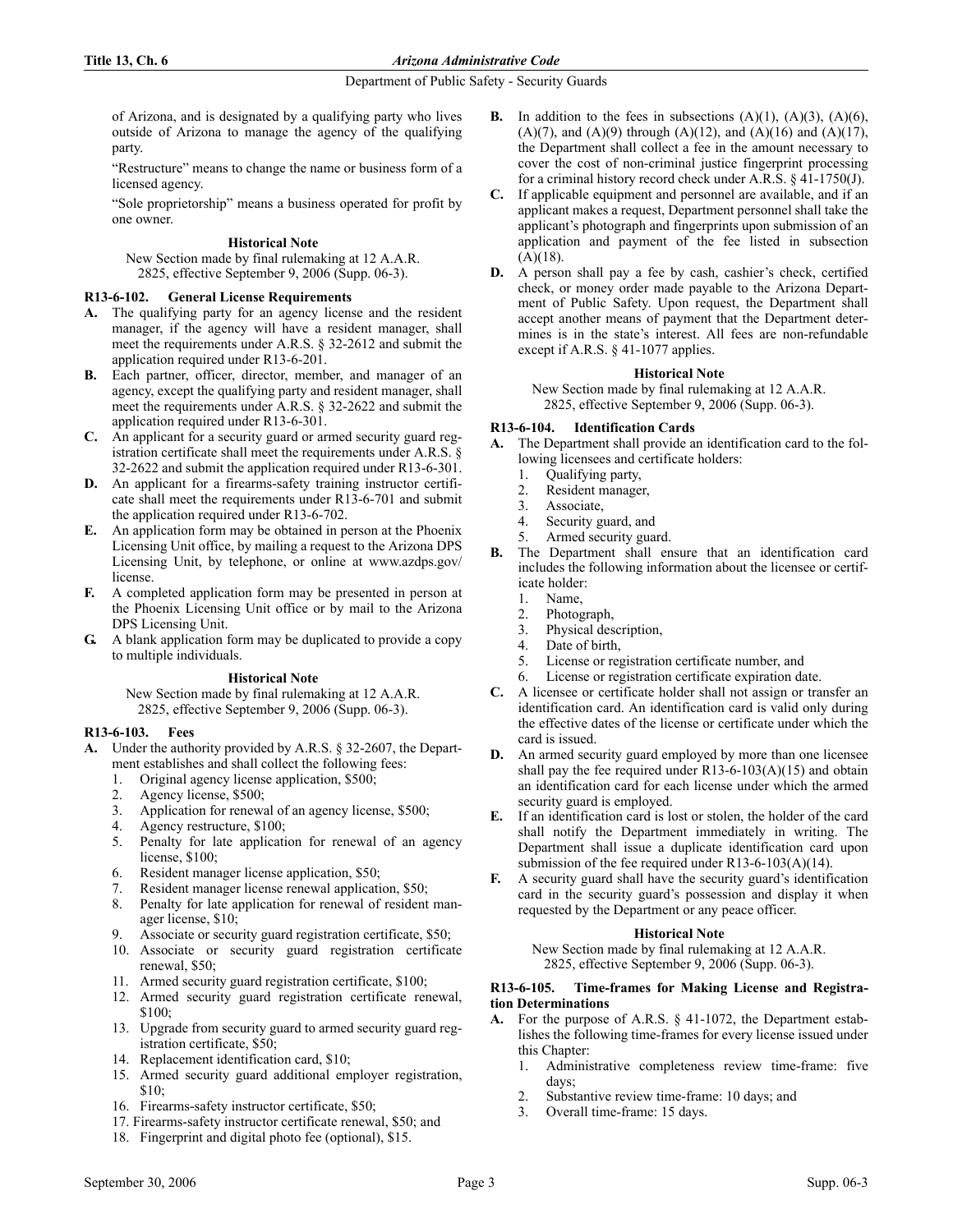of Arizona, and is designated by a qualifying party who lives outside of Arizona to manage the agency of the qualifying party.

"Restructure" means to change the name or business form of a licensed agency.

"Sole proprietorship" means a business operated for profit by one owner.

# **Historical Note**

New Section made by final rulemaking at 12 A.A.R. 2825, effective September 9, 2006 (Supp. 06-3).

# **R13-6-102. General License Requirements**

- **A.** The qualifying party for an agency license and the resident manager, if the agency will have a resident manager, shall meet the requirements under A.R.S. § 32-2612 and submit the application required under R13-6-201.
- **B.** Each partner, officer, director, member, and manager of an agency, except the qualifying party and resident manager, shall meet the requirements under A.R.S. § 32-2622 and submit the application required under R13-6-301.
- **C.** An applicant for a security guard or armed security guard registration certificate shall meet the requirements under A.R.S. § 32-2622 and submit the application required under R13-6-301.
- **D.** An applicant for a firearms-safety training instructor certificate shall meet the requirements under R13-6-701 and submit the application required under R13-6-702.
- **E.** An application form may be obtained in person at the Phoenix Licensing Unit office, by mailing a request to the Arizona DPS Licensing Unit, by telephone, or online at www.azdps.gov/ license.
- **F.** A completed application form may be presented in person at the Phoenix Licensing Unit office or by mail to the Arizona DPS Licensing Unit.
- **G.** A blank application form may be duplicated to provide a copy to multiple individuals.

## **Historical Note**

New Section made by final rulemaking at 12 A.A.R. 2825, effective September 9, 2006 (Supp. 06-3).

# **R13-6-103. Fees**

- **A.** Under the authority provided by A.R.S. § 32-2607, the Department establishes and shall collect the following fees:
	- 1. Original agency license application, \$500;<br>2. Agency license \$500:
	- Agency license, \$500;
	- 3. Application for renewal of an agency license, \$500;
	- 4. Agency restructure, \$100;
	- 5. Penalty for late application for renewal of an agency license, \$100;
	- 6. Resident manager license application, \$50;
	- 7. Resident manager license renewal application, \$50;
	- 8. Penalty for late application for renewal of resident manager license, \$10;
	- 9. Associate or security guard registration certificate, \$50;
	- 10. Associate or security guard registration certificate renewal, \$50;
	- 11. Armed security guard registration certificate, \$100;
	- 12. Armed security guard registration certificate renewal, \$100;
	- 13. Upgrade from security guard to armed security guard registration certificate, \$50;
	- 14. Replacement identification card, \$10;
	- 15. Armed security guard additional employer registration, \$10;
	- 16. Firearms-safety instructor certificate, \$50;
	- 17. Firearms-safety instructor certificate renewal, \$50; and
	- 18. Fingerprint and digital photo fee (optional), \$15.
- **B.** In addition to the fees in subsections  $(A)(1)$ ,  $(A)(3)$ ,  $(A)(6)$ , (A)(7), and (A)(9) through (A)(12), and (A)(16) and (A)(17), the Department shall collect a fee in the amount necessary to cover the cost of non-criminal justice fingerprint processing for a criminal history record check under A.R.S. § 41-1750(J).
- **C.** If applicable equipment and personnel are available, and if an applicant makes a request, Department personnel shall take the applicant's photograph and fingerprints upon submission of an application and payment of the fee listed in subsection  $(A)(18)$ .
- **D.** A person shall pay a fee by cash, cashier's check, certified check, or money order made payable to the Arizona Department of Public Safety. Upon request, the Department shall accept another means of payment that the Department determines is in the state's interest. All fees are non-refundable except if A.R.S. § 41-1077 applies.

## **Historical Note**

New Section made by final rulemaking at 12 A.A.R. 2825, effective September 9, 2006 (Supp. 06-3).

## **R13-6-104. Identification Cards**

**A.** The Department shall provide an identification card to the following licensees and certificate holders:

- 1. Qualifying party,
- 2. Resident manager,
- 3. Associate,
- 4. Security guard, and
- 5. Armed security guard.
- **B.** The Department shall ensure that an identification card includes the following information about the licensee or certificate holder:
	- 1. Name,
	- 2. Photograph,
	- 3. Physical description,
	- 4. Date of birth,
	- 5. License or registration certificate number, and
	- 6. License or registration certificate expiration date.
- **C.** A licensee or certificate holder shall not assign or transfer an identification card. An identification card is valid only during the effective dates of the license or certificate under which the card is issued.
- **D.** An armed security guard employed by more than one licensee shall pay the fee required under  $R13-6-103(A)(15)$  and obtain an identification card for each license under which the armed security guard is employed.
- **E.** If an identification card is lost or stolen, the holder of the card shall notify the Department immediately in writing. The Department shall issue a duplicate identification card upon submission of the fee required under R13-6-103(A)(14).
- **F.** A security guard shall have the security guard's identification card in the security guard's possession and display it when requested by the Department or any peace officer.

# **Historical Note**

New Section made by final rulemaking at 12 A.A.R. 2825, effective September 9, 2006 (Supp. 06-3).

## **R13-6-105. Time-frames for Making License and Registration Determinations**

- **A.** For the purpose of A.R.S. § 41-1072, the Department establishes the following time-frames for every license issued under this Chapter:
	- 1. Administrative completeness review time-frame: five days;
	- 2. Substantive review time-frame: 10 days; and
	- Overall time-frame: 15 days.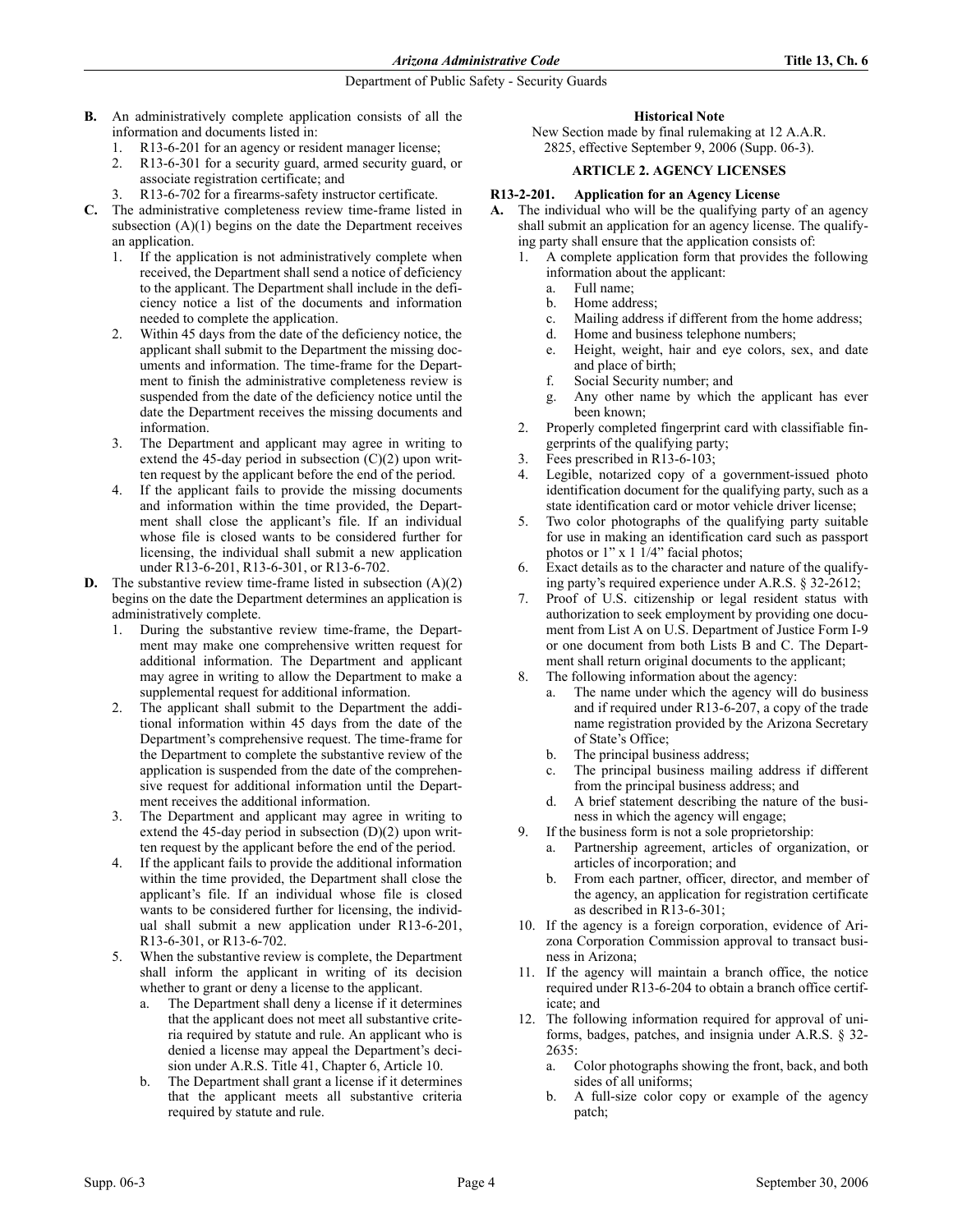- **B.** An administratively complete application consists of all the information and documents listed in:
	- 1. R13-6-201 for an agency or resident manager license;
	- 2. R13-6-301 for a security guard, armed security guard, or associate registration certificate; and
	- R13-6-702 for a firearms-safety instructor certificate.
- **C.** The administrative completeness review time-frame listed in subsection  $(A)(1)$  begins on the date the Department receives an application.
	- 1. If the application is not administratively complete when received, the Department shall send a notice of deficiency to the applicant. The Department shall include in the deficiency notice a list of the documents and information needed to complete the application.
	- 2. Within 45 days from the date of the deficiency notice, the applicant shall submit to the Department the missing documents and information. The time-frame for the Department to finish the administrative completeness review is suspended from the date of the deficiency notice until the date the Department receives the missing documents and information.
	- 3. The Department and applicant may agree in writing to extend the 45-day period in subsection  $(C)(2)$  upon written request by the applicant before the end of the period.
	- 4. If the applicant fails to provide the missing documents and information within the time provided, the Department shall close the applicant's file. If an individual whose file is closed wants to be considered further for licensing, the individual shall submit a new application under R13-6-201, R13-6-301, or R13-6-702.
- **D.** The substantive review time-frame listed in subsection (A)(2) begins on the date the Department determines an application is administratively complete.
	- 1. During the substantive review time-frame, the Department may make one comprehensive written request for additional information. The Department and applicant may agree in writing to allow the Department to make a supplemental request for additional information.
	- 2. The applicant shall submit to the Department the additional information within 45 days from the date of the Department's comprehensive request. The time-frame for the Department to complete the substantive review of the application is suspended from the date of the comprehensive request for additional information until the Department receives the additional information.
	- The Department and applicant may agree in writing to extend the 45-day period in subsection  $(D)(2)$  upon written request by the applicant before the end of the period.
	- 4. If the applicant fails to provide the additional information within the time provided, the Department shall close the applicant's file. If an individual whose file is closed wants to be considered further for licensing, the individual shall submit a new application under R13-6-201, R13-6-301, or R13-6-702.
	- 5. When the substantive review is complete, the Department shall inform the applicant in writing of its decision whether to grant or deny a license to the applicant.
		- a. The Department shall deny a license if it determines that the applicant does not meet all substantive criteria required by statute and rule. An applicant who is denied a license may appeal the Department's decision under A.R.S. Title 41, Chapter 6, Article 10.
		- b. The Department shall grant a license if it determines that the applicant meets all substantive criteria required by statute and rule.

# **Historical Note**

New Section made by final rulemaking at 12 A.A.R. 2825, effective September 9, 2006 (Supp. 06-3).

# **ARTICLE 2. AGENCY LICENSES**

## **R13-2-201. Application for an Agency License**

- **A.** The individual who will be the qualifying party of an agency shall submit an application for an agency license. The qualifying party shall ensure that the application consists of:
	- 1. A complete application form that provides the following information about the applicant:
		- a. Full name;
		- b. Home address;
		- c. Mailing address if different from the home address;
		- d. Home and business telephone numbers;
		- e. Height, weight, hair and eye colors, sex, and date and place of birth;
		- f. Social Security number; and
		- g. Any other name by which the applicant has ever been known;
	- 2. Properly completed fingerprint card with classifiable fingerprints of the qualifying party;
	- 3. Fees prescribed in R13-6-103;
	- 4. Legible, notarized copy of a government-issued photo identification document for the qualifying party, such as a state identification card or motor vehicle driver license;
	- Two color photographs of the qualifying party suitable for use in making an identification card such as passport photos or 1" x 1 1/4" facial photos;
	- 6. Exact details as to the character and nature of the qualifying party's required experience under A.R.S. § 32-2612;
	- Proof of U.S. citizenship or legal resident status with authorization to seek employment by providing one document from List A on U.S. Department of Justice Form I-9 or one document from both Lists B and C. The Department shall return original documents to the applicant;
	- 8. The following information about the agency:
		- a. The name under which the agency will do business and if required under R13-6-207, a copy of the trade name registration provided by the Arizona Secretary of State's Office;
		- b. The principal business address;
		- c. The principal business mailing address if different from the principal business address; and
		- d. A brief statement describing the nature of the business in which the agency will engage;
	- 9. If the business form is not a sole proprietorship:
		- a. Partnership agreement, articles of organization, or articles of incorporation; and
		- b. From each partner, officer, director, and member of the agency, an application for registration certificate as described in R13-6-301;
	- 10. If the agency is a foreign corporation, evidence of Arizona Corporation Commission approval to transact business in Arizona;
	- 11. If the agency will maintain a branch office, the notice required under R13-6-204 to obtain a branch office certificate; and
	- 12. The following information required for approval of uniforms, badges, patches, and insignia under A.R.S. § 32- 2635:
		- a. Color photographs showing the front, back, and both sides of all uniforms;
		- b. A full-size color copy or example of the agency patch;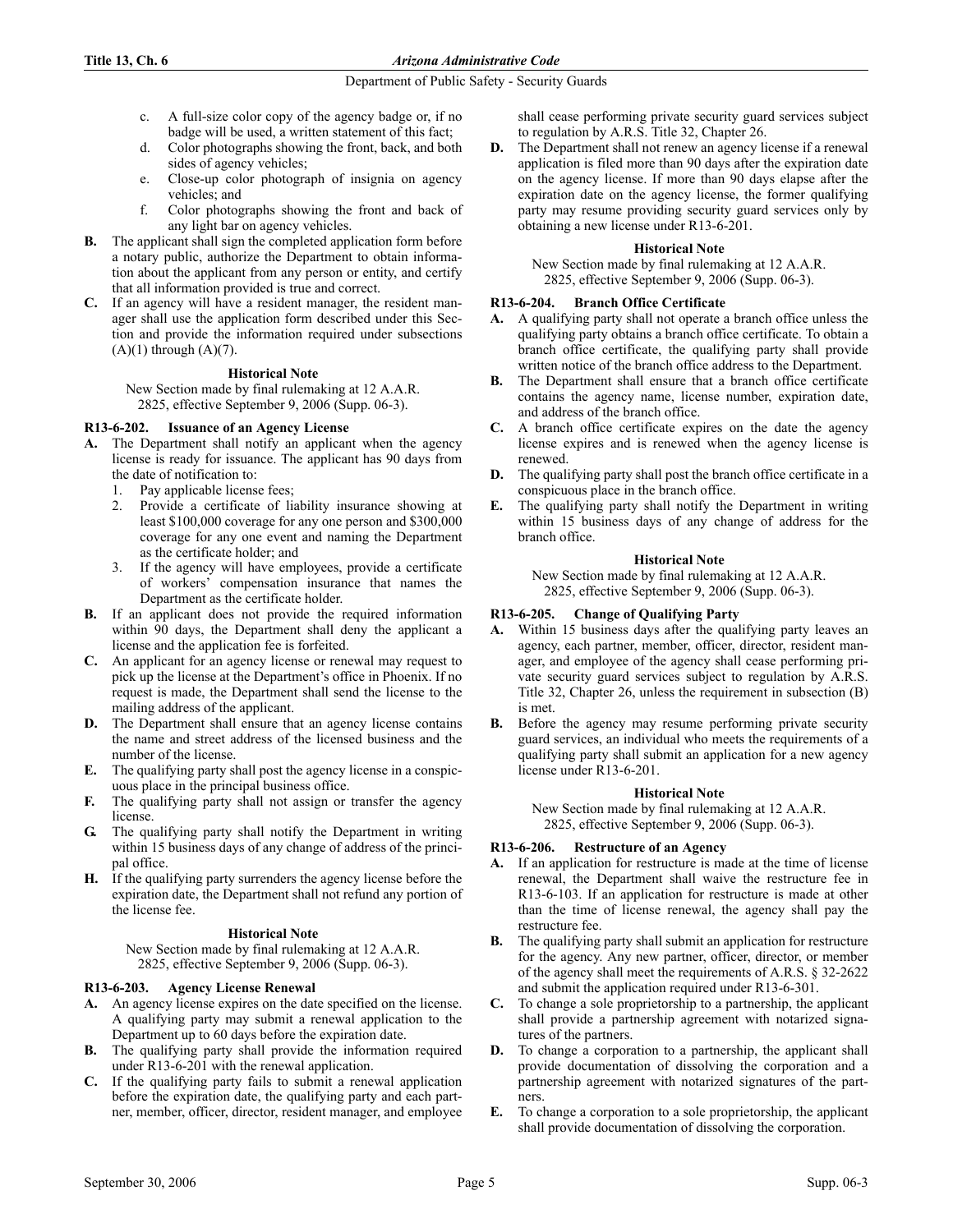## **Title 13, Ch. 6** *Arizona Administrative Code*

## Department of Public Safety - Security Guards

- c. A full-size color copy of the agency badge or, if no badge will be used, a written statement of this fact;
- d. Color photographs showing the front, back, and both sides of agency vehicles;
- e. Close-up color photograph of insignia on agency vehicles; and
- f. Color photographs showing the front and back of any light bar on agency vehicles.
- **B.** The applicant shall sign the completed application form before a notary public, authorize the Department to obtain information about the applicant from any person or entity, and certify that all information provided is true and correct.
- **C.** If an agency will have a resident manager, the resident manager shall use the application form described under this Section and provide the information required under subsections  $(A)(1)$  through  $(A)(7)$ .

## **Historical Note**

New Section made by final rulemaking at 12 A.A.R. 2825, effective September 9, 2006 (Supp. 06-3).

## **R13-6-202. Issuance of an Agency License**

- **A.** The Department shall notify an applicant when the agency license is ready for issuance. The applicant has 90 days from the date of notification to:
	- 1. Pay applicable license fees;
	- 2. Provide a certificate of liability insurance showing at least \$100,000 coverage for any one person and \$300,000 coverage for any one event and naming the Department as the certificate holder; and
	- 3. If the agency will have employees, provide a certificate of workers' compensation insurance that names the Department as the certificate holder.
- **B.** If an applicant does not provide the required information within 90 days, the Department shall deny the applicant a license and the application fee is forfeited.
- **C.** An applicant for an agency license or renewal may request to pick up the license at the Department's office in Phoenix. If no request is made, the Department shall send the license to the mailing address of the applicant.
- **D.** The Department shall ensure that an agency license contains the name and street address of the licensed business and the number of the license.
- **E.** The qualifying party shall post the agency license in a conspicuous place in the principal business office.
- **F.** The qualifying party shall not assign or transfer the agency license.
- **G.** The qualifying party shall notify the Department in writing within 15 business days of any change of address of the principal office.
- **H.** If the qualifying party surrenders the agency license before the expiration date, the Department shall not refund any portion of the license fee.

# **Historical Note**

New Section made by final rulemaking at 12 A.A.R. 2825, effective September 9, 2006 (Supp. 06-3).

# **R13-6-203. Agency License Renewal**

- **A.** An agency license expires on the date specified on the license. A qualifying party may submit a renewal application to the Department up to 60 days before the expiration date.
- **B.** The qualifying party shall provide the information required under R13-6-201 with the renewal application.
- **C.** If the qualifying party fails to submit a renewal application before the expiration date, the qualifying party and each partner, member, officer, director, resident manager, and employee

shall cease performing private security guard services subject to regulation by A.R.S. Title 32, Chapter 26.

**D.** The Department shall not renew an agency license if a renewal application is filed more than 90 days after the expiration date on the agency license. If more than 90 days elapse after the expiration date on the agency license, the former qualifying party may resume providing security guard services only by obtaining a new license under R13-6-201.

# **Historical Note**

New Section made by final rulemaking at 12 A.A.R. 2825, effective September 9, 2006 (Supp. 06-3).

## **R13-6-204. Branch Office Certificate**

- **A.** A qualifying party shall not operate a branch office unless the qualifying party obtains a branch office certificate. To obtain a branch office certificate, the qualifying party shall provide written notice of the branch office address to the Department.
- **B.** The Department shall ensure that a branch office certificate contains the agency name, license number, expiration date, and address of the branch office.
- **C.** A branch office certificate expires on the date the agency license expires and is renewed when the agency license is renewed.
- **D.** The qualifying party shall post the branch office certificate in a conspicuous place in the branch office.
- **E.** The qualifying party shall notify the Department in writing within 15 business days of any change of address for the branch office.

## **Historical Note**

New Section made by final rulemaking at 12 A.A.R. 2825, effective September 9, 2006 (Supp. 06-3).

## **R13-6-205. Change of Qualifying Party**

- **A.** Within 15 business days after the qualifying party leaves an agency, each partner, member, officer, director, resident manager, and employee of the agency shall cease performing private security guard services subject to regulation by A.R.S. Title 32, Chapter 26, unless the requirement in subsection (B) is met.
- **B.** Before the agency may resume performing private security guard services, an individual who meets the requirements of a qualifying party shall submit an application for a new agency license under R13-6-201.

## **Historical Note**

New Section made by final rulemaking at 12 A.A.R. 2825, effective September 9, 2006 (Supp. 06-3).

## **R13-6-206. Restructure of an Agency**

- **A.** If an application for restructure is made at the time of license renewal, the Department shall waive the restructure fee in R13-6-103. If an application for restructure is made at other than the time of license renewal, the agency shall pay the restructure fee.
- **B.** The qualifying party shall submit an application for restructure for the agency. Any new partner, officer, director, or member of the agency shall meet the requirements of A.R.S. § 32-2622 and submit the application required under R13-6-301.
- **C.** To change a sole proprietorship to a partnership, the applicant shall provide a partnership agreement with notarized signatures of the partners.
- **D.** To change a corporation to a partnership, the applicant shall provide documentation of dissolving the corporation and a partnership agreement with notarized signatures of the partners.
- **E.** To change a corporation to a sole proprietorship, the applicant shall provide documentation of dissolving the corporation.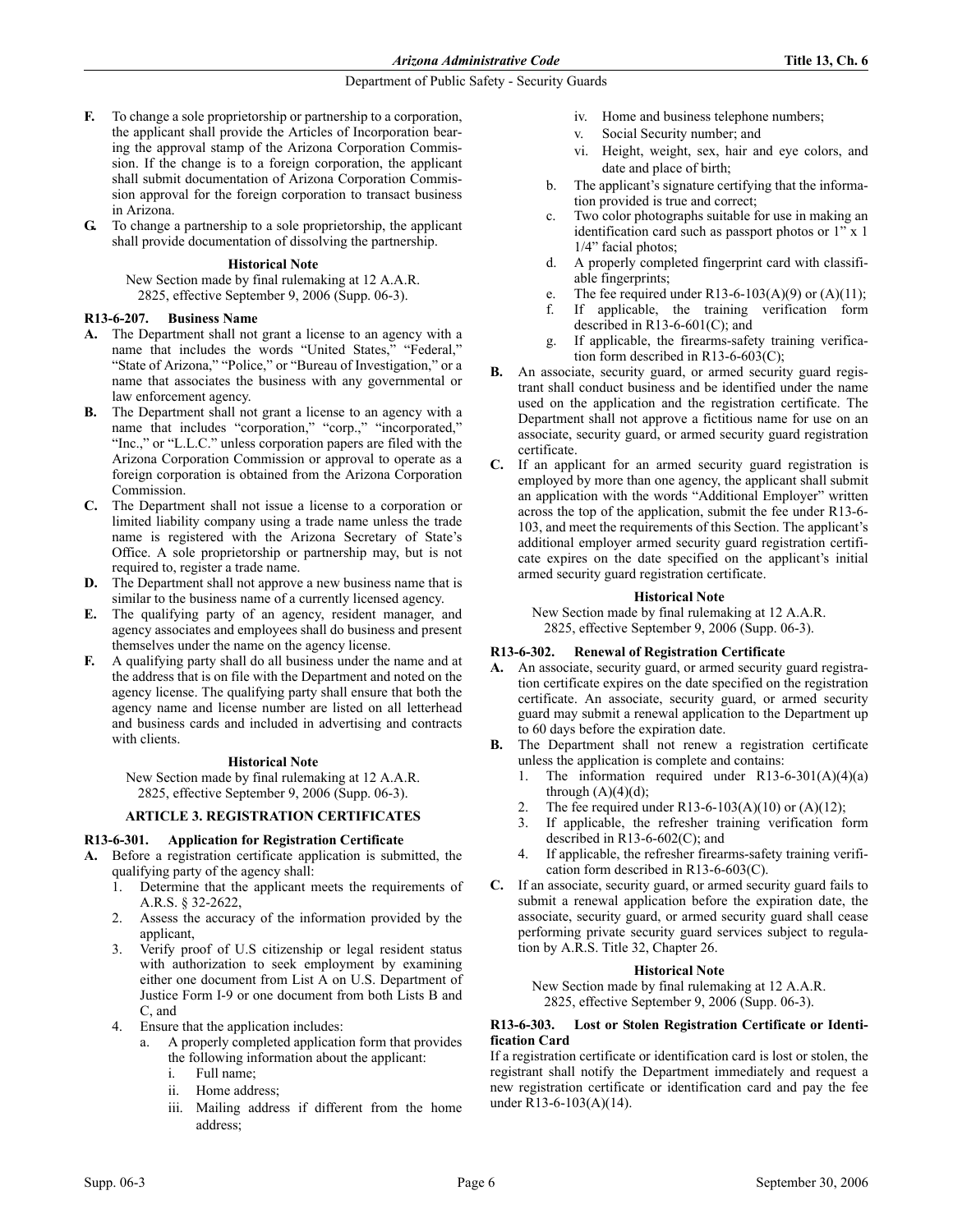- **F.** To change a sole proprietorship or partnership to a corporation, the applicant shall provide the Articles of Incorporation bearing the approval stamp of the Arizona Corporation Commission. If the change is to a foreign corporation, the applicant shall submit documentation of Arizona Corporation Commission approval for the foreign corporation to transact business in Arizona.
- **G.** To change a partnership to a sole proprietorship, the applicant shall provide documentation of dissolving the partnership.

## **Historical Note**

New Section made by final rulemaking at 12 A.A.R. 2825, effective September 9, 2006 (Supp. 06-3).

## **R13-6-207. Business Name**

- **A.** The Department shall not grant a license to an agency with a name that includes the words "United States," "Federal," "State of Arizona," "Police," or "Bureau of Investigation," or a name that associates the business with any governmental or law enforcement agency.
- **B.** The Department shall not grant a license to an agency with a name that includes "corporation," "corp.," "incorporated," "Inc.," or "L.L.C." unless corporation papers are filed with the Arizona Corporation Commission or approval to operate as a foreign corporation is obtained from the Arizona Corporation Commission.
- **C.** The Department shall not issue a license to a corporation or limited liability company using a trade name unless the trade name is registered with the Arizona Secretary of State's Office. A sole proprietorship or partnership may, but is not required to, register a trade name.
- **D.** The Department shall not approve a new business name that is similar to the business name of a currently licensed agency.
- **E.** The qualifying party of an agency, resident manager, and agency associates and employees shall do business and present themselves under the name on the agency license.
- **F.** A qualifying party shall do all business under the name and at the address that is on file with the Department and noted on the agency license. The qualifying party shall ensure that both the agency name and license number are listed on all letterhead and business cards and included in advertising and contracts with clients.

## **Historical Note**

New Section made by final rulemaking at 12 A.A.R. 2825, effective September 9, 2006 (Supp. 06-3).

# **ARTICLE 3. REGISTRATION CERTIFICATES**

# **R13-6-301. Application for Registration Certificate**

- **A.** Before a registration certificate application is submitted, the qualifying party of the agency shall:
	- 1. Determine that the applicant meets the requirements of A.R.S. § 32-2622,
	- 2. Assess the accuracy of the information provided by the applicant,
	- Verify proof of U.S citizenship or legal resident status with authorization to seek employment by examining either one document from List A on U.S. Department of Justice Form I-9 or one document from both Lists B and C, and
	- 4. Ensure that the application includes:
		- a. A properly completed application form that provides the following information about the applicant:
			- i. Full name;
			- ii. Home address;
			- iii. Mailing address if different from the home address;
- iv. Home and business telephone numbers;
- v. Social Security number; and
- vi. Height, weight, sex, hair and eye colors, and date and place of birth;
- b. The applicant's signature certifying that the information provided is true and correct;
- c. Two color photographs suitable for use in making an identification card such as passport photos or 1" x 1 1/4" facial photos;
- d. A properly completed fingerprint card with classifiable fingerprints;
- e. The fee required under R13-6-103(A)(9) or (A)(11);
- f. If applicable, the training verification form described in R13-6-601(C); and
- g. If applicable, the firearms-safety training verification form described in R13-6-603(C);
- **B.** An associate, security guard, or armed security guard registrant shall conduct business and be identified under the name used on the application and the registration certificate. The Department shall not approve a fictitious name for use on an associate, security guard, or armed security guard registration certificate.
- **C.** If an applicant for an armed security guard registration is employed by more than one agency, the applicant shall submit an application with the words "Additional Employer" written across the top of the application, submit the fee under R13-6- 103, and meet the requirements of this Section. The applicant's additional employer armed security guard registration certificate expires on the date specified on the applicant's initial armed security guard registration certificate.

## **Historical Note**

New Section made by final rulemaking at 12 A.A.R. 2825, effective September 9, 2006 (Supp. 06-3).

# **R13-6-302. Renewal of Registration Certificate**

- **A.** An associate, security guard, or armed security guard registration certificate expires on the date specified on the registration certificate. An associate, security guard, or armed security guard may submit a renewal application to the Department up to 60 days before the expiration date.
- **B.** The Department shall not renew a registration certificate unless the application is complete and contains:
	- 1. The information required under  $R13-6-301(A)(4)(a)$ through  $(A)(4)(d)$ ;
	- 2. The fee required under R13-6-103(A)(10) or (A)(12);
	- 3. If applicable, the refresher training verification form described in R13-6-602(C); and
	- 4. If applicable, the refresher firearms-safety training verification form described in R13-6-603(C).
- **C.** If an associate, security guard, or armed security guard fails to submit a renewal application before the expiration date, the associate, security guard, or armed security guard shall cease performing private security guard services subject to regulation by A.R.S. Title 32, Chapter 26.

## **Historical Note**

New Section made by final rulemaking at 12 A.A.R. 2825, effective September 9, 2006 (Supp. 06-3).

## **R13-6-303. Lost or Stolen Registration Certificate or Identification Card**

If a registration certificate or identification card is lost or stolen, the registrant shall notify the Department immediately and request a new registration certificate or identification card and pay the fee under R13-6-103(A)(14).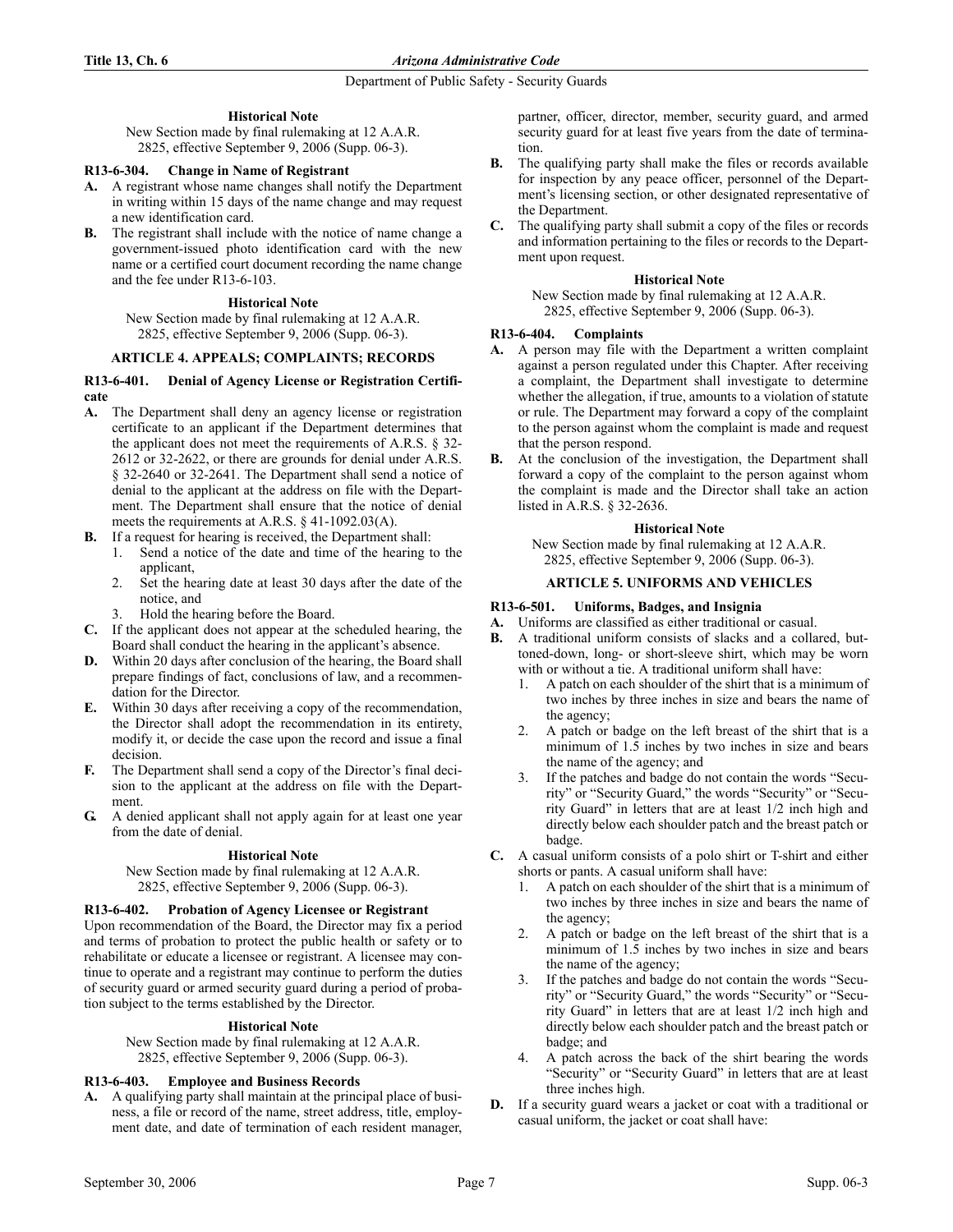## **Historical Note**

New Section made by final rulemaking at 12 A.A.R. 2825, effective September 9, 2006 (Supp. 06-3).

## **R13-6-304. Change in Name of Registrant**

- **A.** A registrant whose name changes shall notify the Department in writing within 15 days of the name change and may request a new identification card.
- **B.** The registrant shall include with the notice of name change a government-issued photo identification card with the new name or a certified court document recording the name change and the fee under R13-6-103.

#### **Historical Note**

New Section made by final rulemaking at 12 A.A.R. 2825, effective September 9, 2006 (Supp. 06-3).

#### **ARTICLE 4. APPEALS; COMPLAINTS; RECORDS**

### **R13-6-401. Denial of Agency License or Registration Certificate**

- **A.** The Department shall deny an agency license or registration certificate to an applicant if the Department determines that the applicant does not meet the requirements of A.R.S. § 32- 2612 or 32-2622, or there are grounds for denial under A.R.S. § 32-2640 or 32-2641. The Department shall send a notice of denial to the applicant at the address on file with the Department. The Department shall ensure that the notice of denial meets the requirements at A.R.S. § 41-1092.03(A).
- **B.** If a request for hearing is received, the Department shall:
	- 1. Send a notice of the date and time of the hearing to the applicant,
	- 2. Set the hearing date at least 30 days after the date of the notice, and
	- Hold the hearing before the Board.
- **C.** If the applicant does not appear at the scheduled hearing, the Board shall conduct the hearing in the applicant's absence.
- **D.** Within 20 days after conclusion of the hearing, the Board shall prepare findings of fact, conclusions of law, and a recommendation for the Director.
- **E.** Within 30 days after receiving a copy of the recommendation, the Director shall adopt the recommendation in its entirety, modify it, or decide the case upon the record and issue a final decision.
- **F.** The Department shall send a copy of the Director's final decision to the applicant at the address on file with the Department.
- **G.** A denied applicant shall not apply again for at least one year from the date of denial.

#### **Historical Note**

New Section made by final rulemaking at 12 A.A.R. 2825, effective September 9, 2006 (Supp. 06-3).

## **R13-6-402. Probation of Agency Licensee or Registrant**

Upon recommendation of the Board, the Director may fix a period and terms of probation to protect the public health or safety or to rehabilitate or educate a licensee or registrant. A licensee may continue to operate and a registrant may continue to perform the duties of security guard or armed security guard during a period of probation subject to the terms established by the Director.

### **Historical Note**

New Section made by final rulemaking at 12 A.A.R. 2825, effective September 9, 2006 (Supp. 06-3).

### **R13-6-403. Employee and Business Records**

**A.** A qualifying party shall maintain at the principal place of business, a file or record of the name, street address, title, employment date, and date of termination of each resident manager, partner, officer, director, member, security guard, and armed security guard for at least five years from the date of termination.

- **B.** The qualifying party shall make the files or records available for inspection by any peace officer, personnel of the Department's licensing section, or other designated representative of the Department.
- **C.** The qualifying party shall submit a copy of the files or records and information pertaining to the files or records to the Department upon request.

#### **Historical Note**

New Section made by final rulemaking at 12 A.A.R. 2825, effective September 9, 2006 (Supp. 06-3).

### **R13-6-404. Complaints**

- **A.** A person may file with the Department a written complaint against a person regulated under this Chapter. After receiving a complaint, the Department shall investigate to determine whether the allegation, if true, amounts to a violation of statute or rule. The Department may forward a copy of the complaint to the person against whom the complaint is made and request that the person respond.
- **B.** At the conclusion of the investigation, the Department shall forward a copy of the complaint to the person against whom the complaint is made and the Director shall take an action listed in A.R.S. § 32-2636.

#### **Historical Note**

New Section made by final rulemaking at 12 A.A.R. 2825, effective September 9, 2006 (Supp. 06-3).

### **ARTICLE 5. UNIFORMS AND VEHICLES**

#### **R13-6-501. Uniforms, Badges, and Insignia**

- **A.** Uniforms are classified as either traditional or casual.
- **B.** A traditional uniform consists of slacks and a collared, buttoned-down, long- or short-sleeve shirt, which may be worn with or without a tie. A traditional uniform shall have:
	- 1. A patch on each shoulder of the shirt that is a minimum of two inches by three inches in size and bears the name of the agency;
	- 2. A patch or badge on the left breast of the shirt that is a minimum of 1.5 inches by two inches in size and bears the name of the agency; and
	- If the patches and badge do not contain the words "Security" or "Security Guard," the words "Security" or "Security Guard" in letters that are at least 1/2 inch high and directly below each shoulder patch and the breast patch or badge.
- **C.** A casual uniform consists of a polo shirt or T-shirt and either shorts or pants. A casual uniform shall have:
	- 1. A patch on each shoulder of the shirt that is a minimum of two inches by three inches in size and bears the name of the agency;
	- 2. A patch or badge on the left breast of the shirt that is a minimum of 1.5 inches by two inches in size and bears the name of the agency;
	- If the patches and badge do not contain the words "Security" or "Security Guard," the words "Security" or "Security Guard" in letters that are at least 1/2 inch high and directly below each shoulder patch and the breast patch or badge; and
	- 4. A patch across the back of the shirt bearing the words "Security" or "Security Guard" in letters that are at least three inches high.
- **D.** If a security guard wears a jacket or coat with a traditional or casual uniform, the jacket or coat shall have: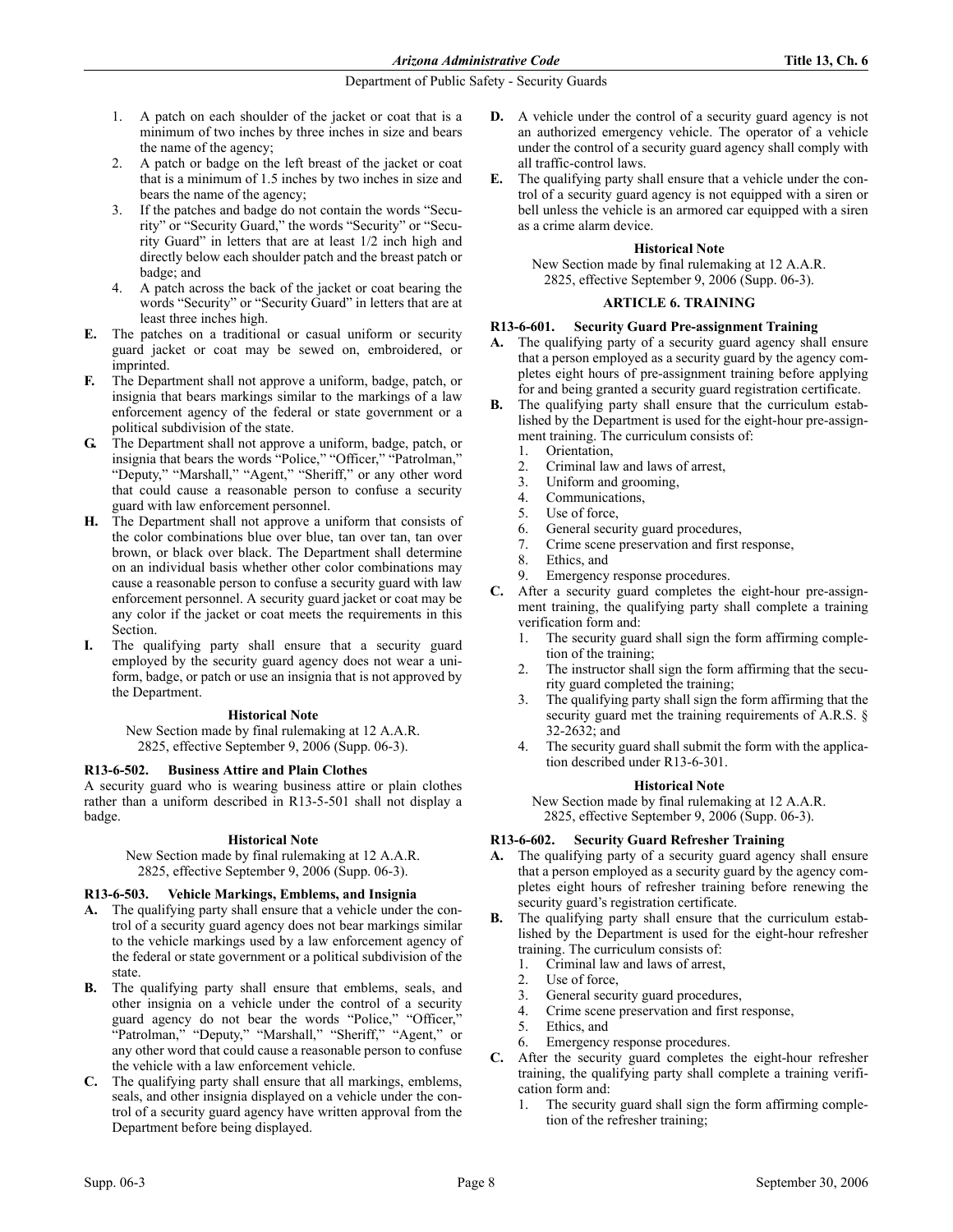- 1. A patch on each shoulder of the jacket or coat that is a minimum of two inches by three inches in size and bears the name of the agency;
- 2. A patch or badge on the left breast of the jacket or coat that is a minimum of 1.5 inches by two inches in size and bears the name of the agency;
- 3. If the patches and badge do not contain the words "Security" or "Security Guard," the words "Security" or "Security Guard" in letters that are at least 1/2 inch high and directly below each shoulder patch and the breast patch or badge; and
- 4. A patch across the back of the jacket or coat bearing the words "Security" or "Security Guard" in letters that are at least three inches high.
- **E.** The patches on a traditional or casual uniform or security guard jacket or coat may be sewed on, embroidered, or imprinted.
- **F.** The Department shall not approve a uniform, badge, patch, or insignia that bears markings similar to the markings of a law enforcement agency of the federal or state government or a political subdivision of the state.
- **G.** The Department shall not approve a uniform, badge, patch, or insignia that bears the words "Police," "Officer," "Patrolman," "Deputy," "Marshall," "Agent," "Sheriff," or any other word that could cause a reasonable person to confuse a security guard with law enforcement personnel.
- **H.** The Department shall not approve a uniform that consists of the color combinations blue over blue, tan over tan, tan over brown, or black over black. The Department shall determine on an individual basis whether other color combinations may cause a reasonable person to confuse a security guard with law enforcement personnel. A security guard jacket or coat may be any color if the jacket or coat meets the requirements in this **Section**
- The qualifying party shall ensure that a security guard employed by the security guard agency does not wear a uniform, badge, or patch or use an insignia that is not approved by the Department.

## **Historical Note**

New Section made by final rulemaking at 12 A.A.R. 2825, effective September 9, 2006 (Supp. 06-3).

## **R13-6-502. Business Attire and Plain Clothes**

A security guard who is wearing business attire or plain clothes rather than a uniform described in R13-5-501 shall not display a badge.

#### **Historical Note**

New Section made by final rulemaking at 12 A.A.R. 2825, effective September 9, 2006 (Supp. 06-3).

## **R13-6-503. Vehicle Markings, Emblems, and Insignia**

- **A.** The qualifying party shall ensure that a vehicle under the control of a security guard agency does not bear markings similar to the vehicle markings used by a law enforcement agency of the federal or state government or a political subdivision of the state.
- **B.** The qualifying party shall ensure that emblems, seals, and other insignia on a vehicle under the control of a security guard agency do not bear the words "Police," "Officer," "Patrolman," "Deputy," "Marshall," "Sheriff," "Agent," or any other word that could cause a reasonable person to confuse the vehicle with a law enforcement vehicle.
- **C.** The qualifying party shall ensure that all markings, emblems, seals, and other insignia displayed on a vehicle under the control of a security guard agency have written approval from the Department before being displayed.
- **D.** A vehicle under the control of a security guard agency is not an authorized emergency vehicle. The operator of a vehicle under the control of a security guard agency shall comply with all traffic-control laws.
- **E.** The qualifying party shall ensure that a vehicle under the control of a security guard agency is not equipped with a siren or bell unless the vehicle is an armored car equipped with a siren as a crime alarm device.

# **Historical Note**

New Section made by final rulemaking at 12 A.A.R. 2825, effective September 9, 2006 (Supp. 06-3).

### **ARTICLE 6. TRAINING**

### **R13-6-601. Security Guard Pre-assignment Training**

- **A.** The qualifying party of a security guard agency shall ensure that a person employed as a security guard by the agency completes eight hours of pre-assignment training before applying for and being granted a security guard registration certificate.
- **B.** The qualifying party shall ensure that the curriculum established by the Department is used for the eight-hour pre-assignment training. The curriculum consists of:
	- 1. Orientation,
	- 2. Criminal law and laws of arrest,
	- 3. Uniform and grooming,
	- 4. Communications,
	- 5. Use of force,
	- 6. General security guard procedures,
	- 7. Crime scene preservation and first response,
	- 8. Ethics, and
	- 9. Emergency response procedures.
- **C.** After a security guard completes the eight-hour pre-assignment training, the qualifying party shall complete a training verification form and:
	- 1. The security guard shall sign the form affirming completion of the training;
	- 2. The instructor shall sign the form affirming that the security guard completed the training;
	- 3. The qualifying party shall sign the form affirming that the security guard met the training requirements of A.R.S. § 32-2632; and
	- The security guard shall submit the form with the application described under R13-6-301.

## **Historical Note**

New Section made by final rulemaking at 12 A.A.R. 2825, effective September 9, 2006 (Supp. 06-3).

## **R13-6-602. Security Guard Refresher Training**

- **A.** The qualifying party of a security guard agency shall ensure that a person employed as a security guard by the agency completes eight hours of refresher training before renewing the security guard's registration certificate.
- **B.** The qualifying party shall ensure that the curriculum established by the Department is used for the eight-hour refresher training. The curriculum consists of:
	- 1. Criminal law and laws of arrest,
	- 2. Use of force,
	- 3. General security guard procedures,
	- 4. Crime scene preservation and first response,
	- 5. Ethics, and
	- 6. Emergency response procedures.
- **C.** After the security guard completes the eight-hour refresher training, the qualifying party shall complete a training verification form and:
	- 1. The security guard shall sign the form affirming completion of the refresher training;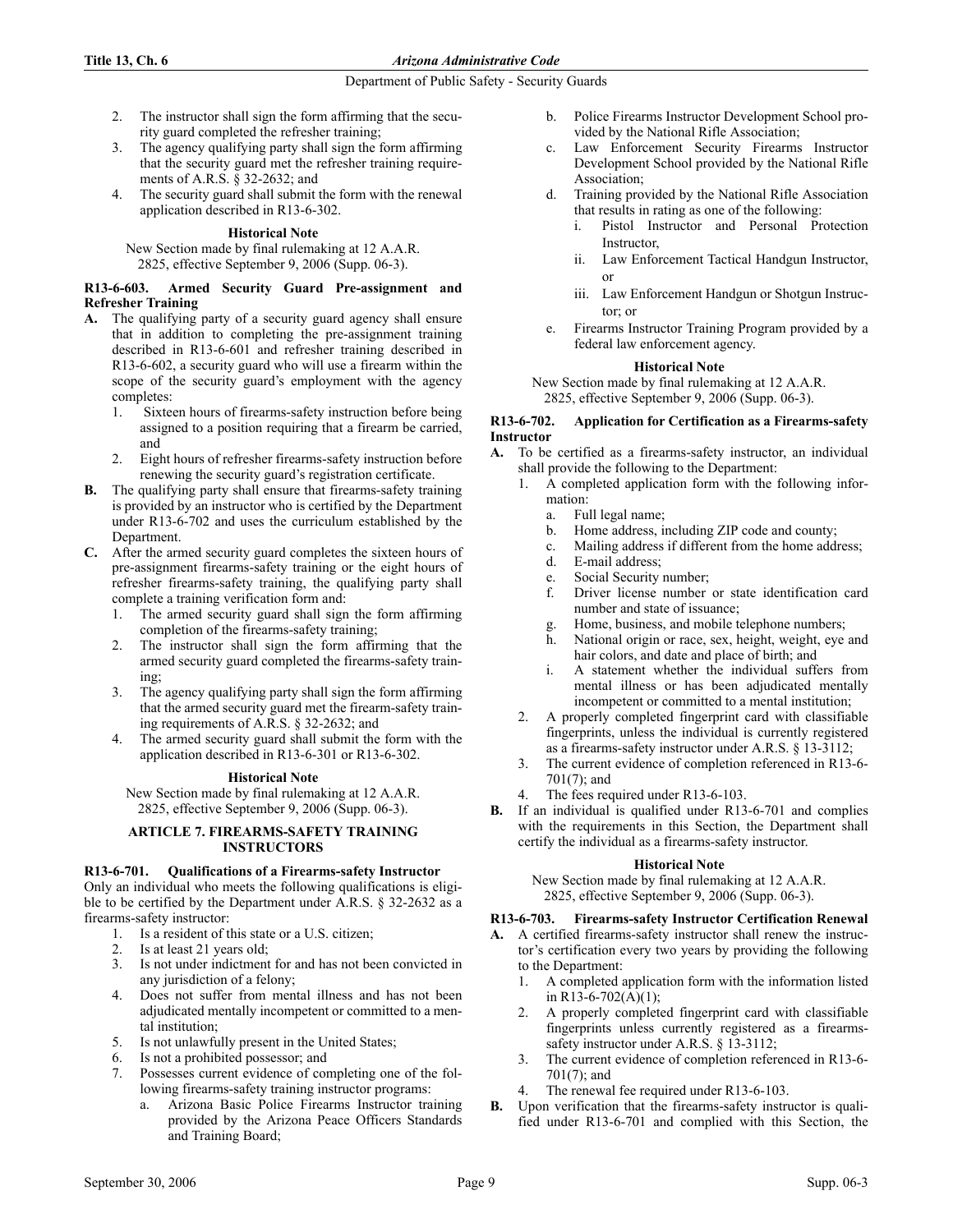## **Title 13, Ch. 6** *Arizona Administrative Code*

## Department of Public Safety - Security Guards

- 2. The instructor shall sign the form affirming that the security guard completed the refresher training;
- 3. The agency qualifying party shall sign the form affirming that the security guard met the refresher training requirements of A.R.S. § 32-2632; and
- 4. The security guard shall submit the form with the renewal application described in R13-6-302.

# **Historical Note**

New Section made by final rulemaking at 12 A.A.R.

2825, effective September 9, 2006 (Supp. 06-3).

### **R13-6-603. Armed Security Guard Pre-assignment and Refresher Training**

- **A.** The qualifying party of a security guard agency shall ensure that in addition to completing the pre-assignment training described in R13-6-601 and refresher training described in R13-6-602, a security guard who will use a firearm within the scope of the security guard's employment with the agency completes:
	- 1. Sixteen hours of firearms-safety instruction before being assigned to a position requiring that a firearm be carried, and
	- 2. Eight hours of refresher firearms-safety instruction before renewing the security guard's registration certificate.
- **B.** The qualifying party shall ensure that firearms-safety training is provided by an instructor who is certified by the Department under R13-6-702 and uses the curriculum established by the Department.
- **C.** After the armed security guard completes the sixteen hours of pre-assignment firearms-safety training or the eight hours of refresher firearms-safety training, the qualifying party shall complete a training verification form and:
	- 1. The armed security guard shall sign the form affirming completion of the firearms-safety training;
	- 2. The instructor shall sign the form affirming that the armed security guard completed the firearms-safety training;
	- 3. The agency qualifying party shall sign the form affirming that the armed security guard met the firearm-safety training requirements of A.R.S. § 32-2632; and
	- 4. The armed security guard shall submit the form with the application described in R13-6-301 or R13-6-302.

# **Historical Note**

New Section made by final rulemaking at 12 A.A.R. 2825, effective September 9, 2006 (Supp. 06-3).

### **ARTICLE 7. FIREARMS-SAFETY TRAINING INSTRUCTORS**

# **R13-6-701. Qualifications of a Firearms-safety Instructor**

Only an individual who meets the following qualifications is eligible to be certified by the Department under A.R.S. § 32-2632 as a firearms-safety instructor:

- 1. Is a resident of this state or a U.S. citizen;
- 2. Is at least 21 years old;
- 3. Is not under indictment for and has not been convicted in any jurisdiction of a felony;
- 4. Does not suffer from mental illness and has not been adjudicated mentally incompetent or committed to a mental institution;
- 5. Is not unlawfully present in the United States;
- Is not a prohibited possessor; and
- 7. Possesses current evidence of completing one of the following firearms-safety training instructor programs:
	- a. Arizona Basic Police Firearms Instructor training provided by the Arizona Peace Officers Standards and Training Board;
- b. Police Firearms Instructor Development School provided by the National Rifle Association;
- c. Law Enforcement Security Firearms Instructor Development School provided by the National Rifle Association;
- d. Training provided by the National Rifle Association that results in rating as one of the following:
	- i. Pistol Instructor and Personal Protection Instructor,
	- ii. Law Enforcement Tactical Handgun Instructor, or
	- iii. Law Enforcement Handgun or Shotgun Instructor; or
- e. Firearms Instructor Training Program provided by a federal law enforcement agency.

## **Historical Note**

New Section made by final rulemaking at 12 A.A.R. 2825, effective September 9, 2006 (Supp. 06-3).

## **R13-6-702. Application for Certification as a Firearms-safety Instructor**

- **A.** To be certified as a firearms-safety instructor, an individual shall provide the following to the Department:
	- 1. A completed application form with the following information:
		- a. Full legal name;
		- b. Home address, including ZIP code and county;
		- c. Mailing address if different from the home address;
		- d. E-mail address;
		- e. Social Security number;
		- f. Driver license number or state identification card number and state of issuance;
		- Home, business, and mobile telephone numbers;
		- h. National origin or race, sex, height, weight, eye and hair colors, and date and place of birth; and
		- i. A statement whether the individual suffers from mental illness or has been adjudicated mentally incompetent or committed to a mental institution;
	- 2. A properly completed fingerprint card with classifiable fingerprints, unless the individual is currently registered as a firearms-safety instructor under A.R.S. § 13-3112;
	- 3. The current evidence of completion referenced in R13-6- 701(7); and
	- 4. The fees required under R13-6-103.
- **B.** If an individual is qualified under R13-6-701 and complies with the requirements in this Section, the Department shall certify the individual as a firearms-safety instructor.

# **Historical Note**

New Section made by final rulemaking at 12 A.A.R. 2825, effective September 9, 2006 (Supp. 06-3).

# **R13-6-703. Firearms-safety Instructor Certification Renewal**

- **A.** A certified firearms-safety instructor shall renew the instructor's certification every two years by providing the following to the Department:
	- 1. A completed application form with the information listed in R13-6-702(A)(1);
	- 2. A properly completed fingerprint card with classifiable fingerprints unless currently registered as a firearmssafety instructor under A.R.S. § 13-3112;
	- 3. The current evidence of completion referenced in R13-6- 701(7); and
	- The renewal fee required under R13-6-103.
- **B.** Upon verification that the firearms-safety instructor is qualified under R13-6-701 and complied with this Section, the